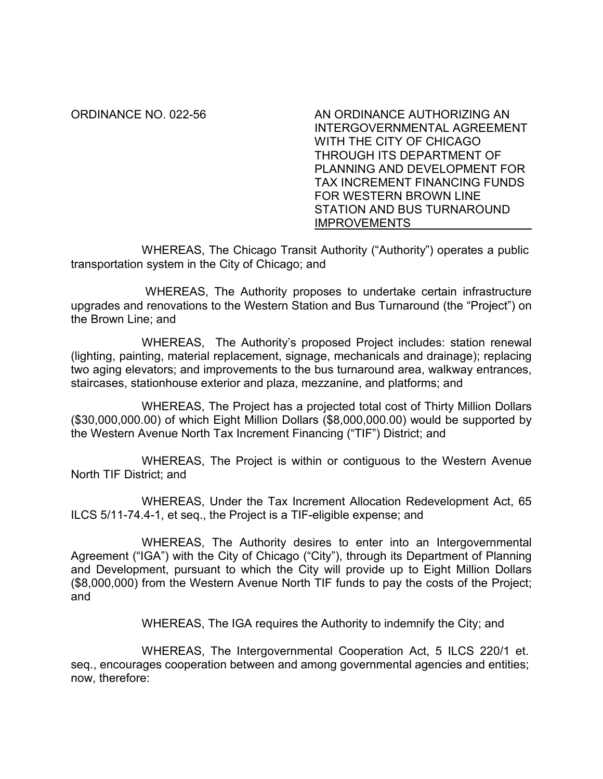ORDINANCE NO. 022-56 AN ORDINANCE AUTHORIZING AN INTERGOVERNMENTAL AGREEMENT WITH THE CITY OF CHICAGO THROUGH ITS DEPARTMENT OF PLANNING AND DEVELOPMENT FOR TAX INCREMENT FINANCING FUNDS FOR WESTERN BROWN LINE STATION AND BUS TURNAROUND **IMPROVEMENTS** 

WHEREAS, The Chicago Transit Authority ("Authority") operates a public transportation system in the City of Chicago; and

 WHEREAS, The Authority proposes to undertake certain infrastructure upgrades and renovations to the Western Station and Bus Turnaround (the "Project") on the Brown Line; and

WHEREAS, The Authority's proposed Project includes: station renewal (lighting, painting, material replacement, signage, mechanicals and drainage); replacing two aging elevators; and improvements to the bus turnaround area, walkway entrances, staircases, stationhouse exterior and plaza, mezzanine, and platforms; and

WHEREAS, The Project has a projected total cost of Thirty Million Dollars (\$30,000,000.00) of which Eight Million Dollars (\$8,000,000.00) would be supported by the Western Avenue North Tax Increment Financing ("TIF") District; and

WHEREAS, The Project is within or contiguous to the Western Avenue North TIF District; and

WHEREAS, Under the Tax Increment Allocation Redevelopment Act, 65 ILCS 5/11-74.4-1, et seq., the Project is a TIF-eligible expense; and

WHEREAS, The Authority desires to enter into an Intergovernmental Agreement ("IGA") with the City of Chicago ("City"), through its Department of Planning and Development, pursuant to which the City will provide up to Eight Million Dollars (\$8,000,000) from the Western Avenue North TIF funds to pay the costs of the Project; and

WHEREAS, The IGA requires the Authority to indemnify the City; and

WHEREAS, The Intergovernmental Cooperation Act, 5 ILCS 220/1 et. seq., encourages cooperation between and among governmental agencies and entities; now, therefore: